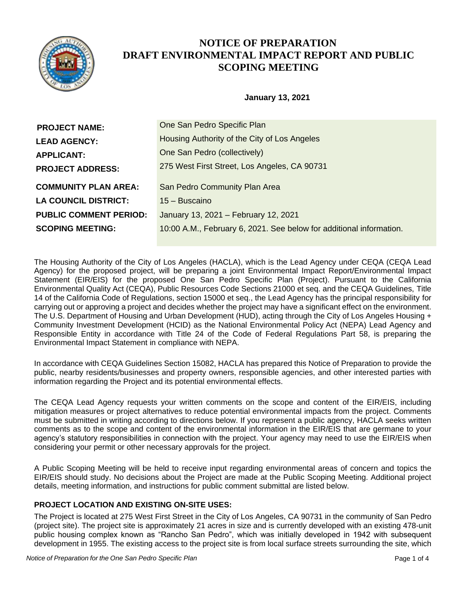

# **NOTICE OF PREPARATION DRAFT ENVIRONMENTAL IMPACT REPORT AND PUBLIC SCOPING MEETING**

## **January 13, 2021**

| <b>PROJECT NAME:</b>          | One San Pedro Specific Plan                                         |
|-------------------------------|---------------------------------------------------------------------|
| <b>LEAD AGENCY:</b>           | Housing Authority of the City of Los Angeles                        |
| <b>APPLICANT:</b>             | One San Pedro (collectively)                                        |
| <b>PROJECT ADDRESS:</b>       | 275 West First Street, Los Angeles, CA 90731                        |
| <b>COMMUNITY PLAN AREA:</b>   | San Pedro Community Plan Area                                       |
| <b>LA COUNCIL DISTRICT:</b>   | 15 – Buscaino                                                       |
| <b>PUBLIC COMMENT PERIOD:</b> | January 13, 2021 - February 12, 2021                                |
| <b>SCOPING MEETING:</b>       | 10:00 A.M., February 6, 2021. See below for additional information. |

The Housing Authority of the City of Los Angeles (HACLA), which is the Lead Agency under CEQA (CEQA Lead Agency) for the proposed project, will be preparing a joint Environmental Impact Report/Environmental Impact Statement (EIR/EIS) for the proposed One San Pedro Specific Plan (Project). Pursuant to the California Environmental Quality Act (CEQA), Public Resources Code Sections 21000 et seq. and the CEQA Guidelines, Title 14 of the California Code of Regulations, section 15000 et seq., the Lead Agency has the principal responsibility for carrying out or approving a project and decides whether the project may have a significant effect on the environment. The U.S. Department of Housing and Urban Development (HUD), acting through the City of Los Angeles Housing + Community Investment Development (HCID) as the National Environmental Policy Act (NEPA) Lead Agency and Responsible Entity in accordance with Title 24 of the Code of Federal Regulations Part 58, is preparing the Environmental Impact Statement in compliance with NEPA.

In accordance with CEQA Guidelines Section 15082, HACLA has prepared this Notice of Preparation to provide the public, nearby residents/businesses and property owners, responsible agencies, and other interested parties with information regarding the Project and its potential environmental effects.

The CEQA Lead Agency requests your written comments on the scope and content of the EIR/EIS, including mitigation measures or project alternatives to reduce potential environmental impacts from the project. Comments must be submitted in writing according to directions below. If you represent a public agency, HACLA seeks written comments as to the scope and content of the environmental information in the EIR/EIS that are germane to your agency's statutory responsibilities in connection with the project. Your agency may need to use the EIR/EIS when considering your permit or other necessary approvals for the project.

A Public Scoping Meeting will be held to receive input regarding environmental areas of concern and topics the EIR/EIS should study. No decisions about the Project are made at the Public Scoping Meeting. Additional project details, meeting information, and instructions for public comment submittal are listed below.

# **PROJECT LOCATION AND EXISTING ON-SITE USES:**

The Project is located at 275 West First Street in the City of Los Angeles, CA 90731 in the community of San Pedro (project site). The project site is approximately 21 acres in size and is currently developed with an existing 478-unit public housing complex known as "Rancho San Pedro", which was initially developed in 1942 with subsequent development in 1955. The existing access to the project site is from local surface streets surrounding the site, which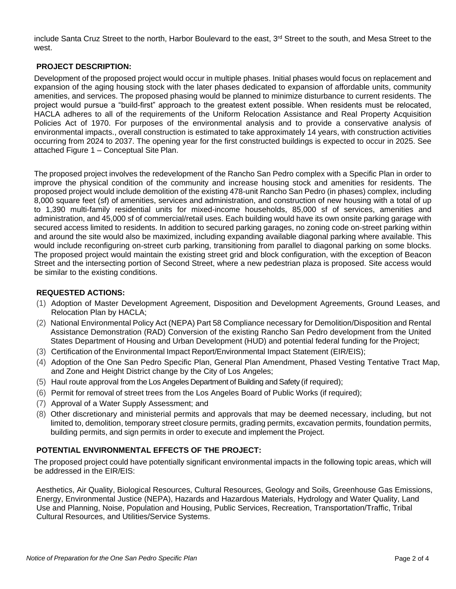include Santa Cruz Street to the north, Harbor Boulevard to the east, 3<sup>rd</sup> Street to the south, and Mesa Street to the west.

## **PROJECT DESCRIPTION:**

Development of the proposed project would occur in multiple phases. Initial phases would focus on replacement and expansion of the aging housing stock with the later phases dedicated to expansion of affordable units, community amenities, and services. The proposed phasing would be planned to minimize disturbance to current residents. The project would pursue a "build-first" approach to the greatest extent possible. When residents must be relocated, HACLA adheres to all of the requirements of the Uniform Relocation Assistance and Real Property Acquisition Policies Act of 1970. For purposes of the environmental analysis and to provide a conservative analysis of environmental impacts., overall construction is estimated to take approximately 14 years, with construction activities occurring from 2024 to 2037. The opening year for the first constructed buildings is expected to occur in 2025. See attached Figure 1 – Conceptual Site Plan.

The proposed project involves the redevelopment of the Rancho San Pedro complex with a Specific Plan in order to improve the physical condition of the community and increase housing stock and amenities for residents. The proposed project would include demolition of the existing 478-unit Rancho San Pedro (in phases) complex, including 8,000 square feet (sf) of amenities, services and administration, and construction of new housing with a total of up to 1,390 multi-family residential units for mixed-income households, 85,000 sf of services, amenities and administration, and 45,000 sf of commercial/retail uses. Each building would have its own onsite parking garage with secured access limited to residents. In addition to secured parking garages, no zoning code on-street parking within and around the site would also be maximized, including expanding available diagonal parking where available. This would include reconfiguring on-street curb parking, transitioning from parallel to diagonal parking on some blocks. The proposed project would maintain the existing street grid and block configuration, with the exception of Beacon Street and the intersecting portion of Second Street, where a new pedestrian plaza is proposed. Site access would be similar to the existing conditions.

### **REQUESTED ACTIONS:**

- (1) Adoption of Master Development Agreement, Disposition and Development Agreements, Ground Leases, and Relocation Plan by HACLA;
- (2) National Environmental Policy Act (NEPA) Part 58 Compliance necessary for Demolition/Disposition and Rental Assistance Demonstration (RAD) Conversion of the existing Rancho San Pedro development from the United States Department of Housing and Urban Development (HUD) and potential federal funding for the Project;
- (3) Certification of the Environmental Impact Report/Environmental Impact Statement (EIR/EIS);
- (4) Adoption of the One San Pedro Specific Plan, General Plan Amendment, Phased Vesting Tentative Tract Map, and Zone and Height District change by the City of Los Angeles;
- (5) Haul route approval from the Los Angeles Department of Building and Safety (if required);
- (6) Permit for removal of street trees from the Los Angeles Board of Public Works (if required);
- (7) Approval of a Water Supply Assessment; and
- (8) Other discretionary and ministerial permits and approvals that may be deemed necessary, including, but not limited to, demolition, temporary street closure permits, grading permits, excavation permits, foundation permits, building permits, and sign permits in order to execute and implement the Project.

#### **POTENTIAL ENVIRONMENTAL EFFECTS OF THE PROJECT:**

The proposed project could have potentially significant environmental impacts in the following topic areas, which will be addressed in the EIR/EIS:

Aesthetics, Air Quality, Biological Resources, Cultural Resources, Geology and Soils, Greenhouse Gas Emissions, Energy, Environmental Justice (NEPA), Hazards and Hazardous Materials, Hydrology and Water Quality, Land Use and Planning, Noise, Population and Housing, Public Services, Recreation, Transportation/Traffic, Tribal Cultural Resources, and Utilities/Service Systems.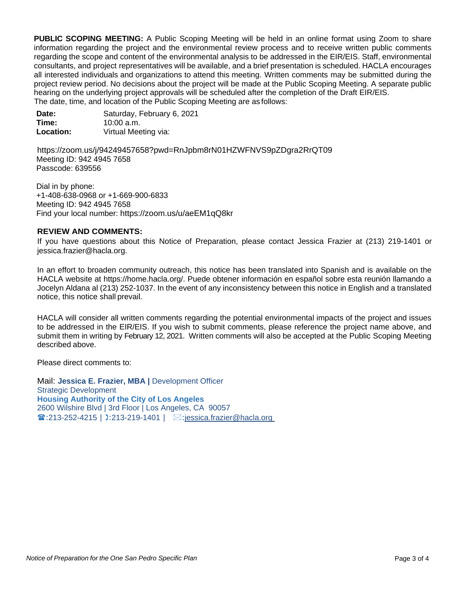**PUBLIC SCOPING MEETING:** A Public Scoping Meeting will be held in an online format using Zoom to share information regarding the project and the environmental review process and to receive written public comments regarding the scope and content of the environmental analysis to be addressed in the EIR/EIS. Staff, environmental consultants, and project representatives will be available, and a brief presentation is scheduled. HACLA encourages all interested individuals and organizations to attend this meeting. Written comments may be submitted during the project review period. No decisions about the project will be made at the Public Scoping Meeting. A separate public hearing on the underlying project approvals will be scheduled after the completion of the Draft EIR/EIS. The date, time, and location of the Public Scoping Meeting are as follows:

| Date:     | Saturday, February 6, 2021 |
|-----------|----------------------------|
| Time:     | $10:00$ a.m.               |
| Location: | Virtual Meeting via:       |

https://zoom.us/j/94249457658?pwd=RnJpbm8rN01HZWFNVS9pZDgra2RrQT09 Meeting ID: 942 4945 7658 Passcode: 639556

Dial in by phone: +1-408-638-0968 or +1-669-900-6833 Meeting ID: 942 4945 7658 Find your local number: https://zoom.us/u/aeEM1qQ8kr

#### **REVIEW AND COMMENTS:**

If you have questions about this Notice of Preparation, please contact Jessica Frazier at (213) 219-1401 or jessica.frazier@hacla.org.

In an effort to broaden community outreach, this notice has been translated into Spanish and is available on the HACLA website at https://home.hacla.org/. Puede obtener información en español sobre esta reunión llamando a Jocelyn Aldana al (213) 252-1037. In the event of any inconsistency between this notice in English and a translated notice, this notice shall prevail.

HACLA will consider all written comments regarding the potential environmental impacts of the project and issues to be addressed in the EIR/EIS. If you wish to submit comments, please reference the project name above, and submit them in writing by February 12, 2021. Written comments will also be accepted at the Public Scoping Meeting described above.

Please direct comments to:

Mail: **Jessica E. Frazier, MBA |** Development Officer Strategic Development **Housing Authority of the City of Los Angeles** 2600 Wilshire Blvd | 3rd Floor | Los Angeles, CA 90057  $\mathbf{F}$ :213-252-4215 | 1:213-219-1401 |  $\mathbb{Z}$ :jessica.frazier@hacla.org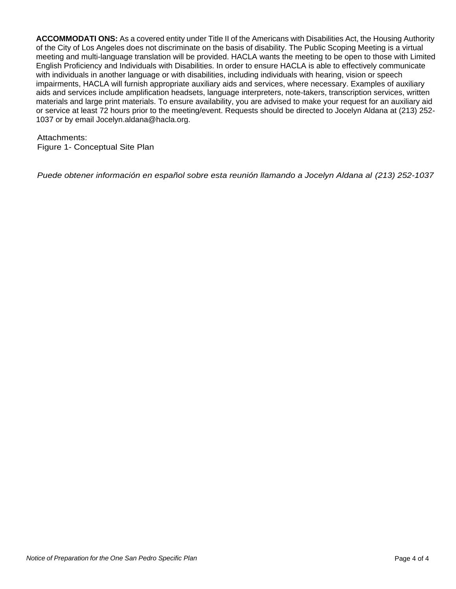**ACCOMMODATI ONS:** As a covered entity under Title II of the Americans with Disabilities Act, the Housing Authority of the City of Los Angeles does not discriminate on the basis of disability. The Public Scoping Meeting is a virtual meeting and multi-language translation will be provided. HACLA wants the meeting to be open to those with Limited English Proficiency and Individuals with Disabilities. In order to ensure HACLA is able to effectively communicate with individuals in another language or with disabilities, including individuals with hearing, vision or speech impairments, HACLA will furnish appropriate auxiliary aids and services, where necessary. Examples of auxiliary aids and services include amplification headsets, language interpreters, note-takers, transcription services, written materials and large print materials. To ensure availability, you are advised to make your request for an auxiliary aid or service at least 72 hours prior to the meeting/event. Requests should be directed to Jocelyn Aldana at (213) 252- 1037 or by email Jocelyn.aldana@hacla.org.

#### Attachments:

Figure 1- Conceptual Site Plan

*Puede obtener información en español sobre esta reunión llamando a Jocelyn Aldana al (213) 252-1037*